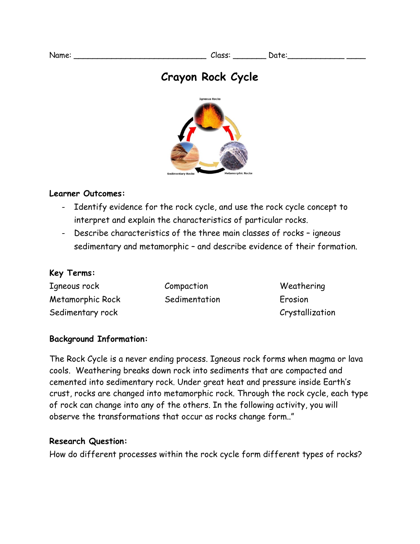# **Crayon Rock Cycle**



#### **Learner Outcomes:**

- Identify evidence for the rock cycle, and use the rock cycle concept to interpret and explain the characteristics of particular rocks.
- Describe characteristics of the three main classes of rocks igneous sedimentary and metamorphic – and describe evidence of their formation.

#### **Key Terms:**

Igneous rock Metamorphic Rock Sedimentary rock

Compaction **Sedimentation** 

Weathering Erosion Crystallization

#### **Background Information:**

The Rock Cycle is a never ending process. Igneous rock forms when magma or lava cools. Weathering breaks down rock into sediments that are compacted and cemented into sedimentary rock. Under great heat and pressure inside Earth's crust, rocks are changed into metamorphic rock. Through the rock cycle, each type of rock can change into any of the others. In the following activity, you will observe the transformations that occur as rocks change form.."

#### **Research Question:**

How do different processes within the rock cycle form different types of rocks?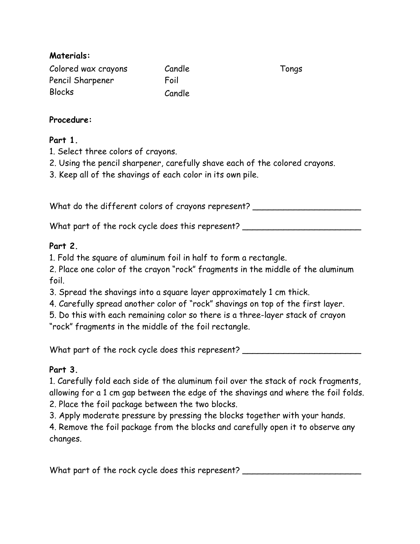### **Materials:**

| Colored wax crayons | Candle |
|---------------------|--------|
| Pencil Sharpener    | Foil   |
| <b>Blocks</b>       | Candle |

Tongs

### **Procedure:**

### **Part 1.**

- 1. Select three colors of crayons.
- 2. Using the pencil sharpener, carefully shave each of the colored crayons.
- 3. Keep all of the shavings of each color in its own pile.

What do the different colors of crayons represent? \_\_\_\_\_\_\_\_\_\_\_\_\_\_\_\_\_\_\_\_\_\_\_\_\_\_\_\_\_

What part of the rock cycle does this represent? \_\_\_\_\_\_\_\_\_\_\_\_\_\_\_\_\_\_\_\_\_\_\_\_\_\_\_\_\_\_\_

# **Part 2.**

- 1. Fold the square of aluminum foil in half to form a rectangle.
- 2. Place one color of the crayon "rock" fragments in the middle of the aluminum foil.
- 3. Spread the shavings into a square layer approximately 1 cm thick.
- 4. Carefully spread another color of "rock" shavings on top of the first layer.
- 5. Do this with each remaining color so there is a three-layer stack of crayon

"rock" fragments in the middle of the foil rectangle.

What part of the rock cycle does this represent?

# **Part 3.**

1. Carefully fold each side of the aluminum foil over the stack of rock fragments, allowing for a 1 cm gap between the edge of the shavings and where the foil folds. 2. Place the foil package between the two blocks.

3. Apply moderate pressure by pressing the blocks together with your hands.

4. Remove the foil package from the blocks and carefully open it to observe any changes.

What part of the rock cycle does this represent?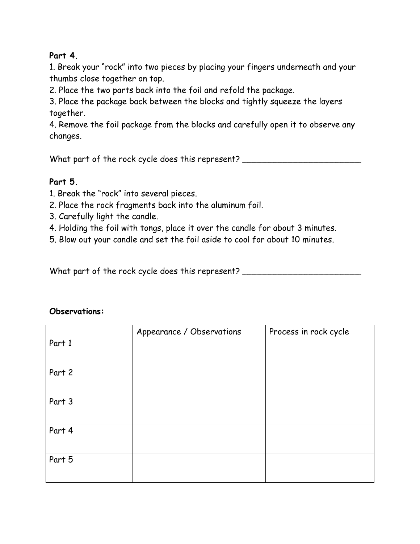### **Part 4.**

1. Break your "rock" into two pieces by placing your fingers underneath and your thumbs close together on top.

2. Place the two parts back into the foil and refold the package.

3. Place the package back between the blocks and tightly squeeze the layers together.

4. Remove the foil package from the blocks and carefully open it to observe any changes.

What part of the rock cycle does this represent? \_\_\_\_\_\_\_\_\_\_\_\_\_\_\_\_\_\_\_\_\_\_\_\_\_\_\_\_\_\_\_

# **Part 5.**

1. Break the "rock" into several pieces.

- 2. Place the rock fragments back into the aluminum foil.
- 3. Carefully light the candle.
- 4. Holding the foil with tongs, place it over the candle for about 3 minutes.
- 5. Blow out your candle and set the foil aside to cool for about 10 minutes.

What part of the rock cycle does this represent? \_\_\_\_\_\_\_\_\_\_\_\_\_\_\_\_\_\_\_\_\_\_\_\_\_\_\_\_\_\_\_

#### **Observations:**

|        | Appearance / Observations | Process in rock cycle |
|--------|---------------------------|-----------------------|
| Part 1 |                           |                       |
| Part 2 |                           |                       |
| Part 3 |                           |                       |
| Part 4 |                           |                       |
| Part 5 |                           |                       |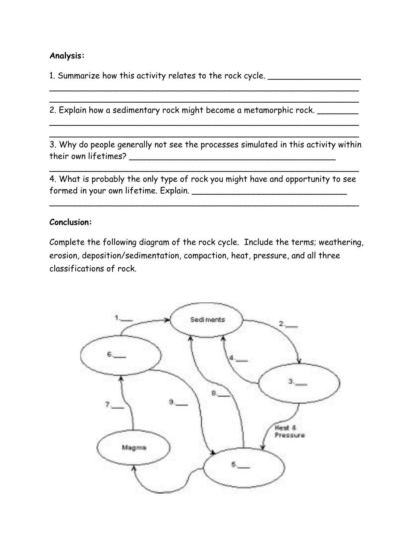#### **Analysis:**

1. Summarize how this activity relates to the rock cycle. \_\_\_\_\_\_\_\_\_\_\_\_\_\_\_\_\_\_\_\_\_\_

2. Explain how a sedimentary rock might become a metamorphic rock. \_\_\_\_\_\_\_\_

3. Why do people generally not see the processes simulated in this activity within their own lifetimes? \_\_\_\_\_\_\_\_\_\_\_\_\_\_\_\_\_\_\_\_\_\_\_\_\_\_\_\_\_\_\_\_\_\_\_\_\_\_\_\_

 $\sim$  . The contract of the contract of the contract of the contract of the contract of the contract of the contract of \_\_\_\_\_\_\_\_\_\_\_\_\_\_\_\_\_\_\_\_\_\_\_\_\_\_\_\_\_\_\_\_\_\_\_\_\_\_\_\_\_\_\_\_\_\_\_\_\_\_\_\_\_\_\_\_\_\_\_\_

\_\_\_\_\_\_\_\_\_\_\_\_\_\_\_\_\_\_\_\_\_\_\_\_\_\_\_\_\_\_\_\_\_\_\_\_\_\_\_\_\_\_\_\_\_\_\_\_\_\_\_\_\_\_\_\_\_\_\_\_ \_\_\_\_\_\_\_\_\_\_\_\_\_\_\_\_\_\_\_\_\_\_\_\_\_\_\_\_\_\_\_\_\_\_\_\_\_\_\_\_\_\_\_\_\_\_\_\_\_\_\_\_\_\_\_\_\_\_\_\_

4. What is probably the only type of rock you might have and opportunity to see formed in your own lifetime. Explain. \_\_\_\_\_\_\_\_\_\_\_\_\_\_\_\_\_\_\_\_\_\_\_\_\_\_\_\_\_\_

\_\_\_\_\_\_\_\_\_\_\_\_\_\_\_\_\_\_\_\_\_\_\_\_\_\_\_\_\_\_\_\_\_\_\_\_\_\_\_\_\_\_\_\_\_\_\_\_\_\_\_\_\_\_\_\_\_\_\_\_

\_\_\_\_\_\_\_\_\_\_\_\_\_\_\_\_\_\_\_\_\_\_\_\_\_\_\_\_\_\_\_\_\_\_\_\_\_\_\_\_\_\_\_\_\_\_\_\_\_\_\_\_\_\_\_\_\_\_\_\_

#### **Conclusion:**

Complete the following diagram of the rock cycle. Include the terms; weathering, erosion, deposition/sedimentation, compaction, heat, pressure, and all three classifications of rock.